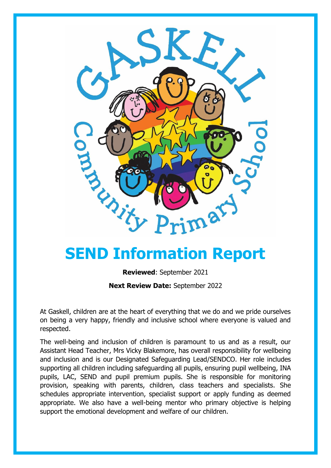

# **SEND Information Report**

**Reviewed**: September 2021 **Next Review Date:** September 2022

At Gaskell, children are at the heart of everything that we do and we pride ourselves on being a very happy, friendly and inclusive school where everyone is valued and respected.

The well-being and inclusion of children is paramount to us and as a result, our Assistant Head Teacher, Mrs Vicky Blakemore, has overall responsibility for wellbeing and inclusion and is our Designated Safeguarding Lead/SENDCO. Her role includes supporting all children including safeguarding all pupils, ensuring pupil wellbeing, INA pupils, LAC, SEND and pupil premium pupils. She is responsible for monitoring provision, speaking with parents, children, class teachers and specialists. She schedules appropriate intervention, specialist support or apply funding as deemed appropriate. We also have a well-being mentor who primary objective is helping support the emotional development and welfare of our children.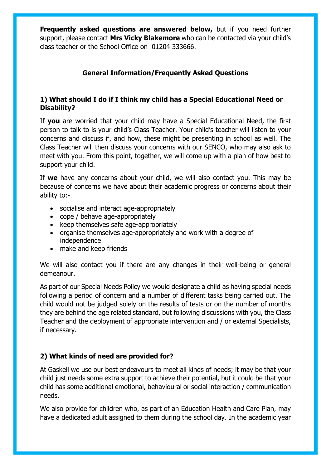**Frequently asked questions are answered below,** but if you need further support, please contact **Mrs Vicky Blakemore** who can be contacted via your child's class teacher or the School Office on 01204 333666.

# **General Information/Frequently Asked Questions**

#### **1) What should I do if I think my child has a Special Educational Need or Disability?**

If **you** are worried that your child may have a Special Educational Need, the first person to talk to is your child's Class Teacher. Your child's teacher will listen to your concerns and discuss if, and how, these might be presenting in school as well. The Class Teacher will then discuss your concerns with our SENCO, who may also ask to meet with you. From this point, together, we will come up with a plan of how best to support your child.

If **we** have any concerns about your child, we will also contact you. This may be because of concerns we have about their academic progress or concerns about their ability to:-

- socialise and interact age-appropriately
- cope / behave age-appropriately
- keep themselves safe age-appropriately
- organise themselves age-appropriately and work with a degree of independence
- make and keep friends

We will also contact you if there are any changes in their well-being or general demeanour.

As part of our Special Needs Policy we would designate a child as having special needs following a period of concern and a number of different tasks being carried out. The child would not be judged solely on the results of tests or on the number of months they are behind the age related standard, but following discussions with you, the Class Teacher and the deployment of appropriate intervention and / or external Specialists, if necessary.

## **2) What kinds of need are provided for?**

At Gaskell we use our best endeavours to meet all kinds of needs; it may be that your child just needs some extra support to achieve their potential, but it could be that your child has some additional emotional, behavioural or social interaction / communication needs.

We also provide for children who, as part of an Education Health and Care Plan, may have a dedicated adult assigned to them during the school day. In the academic year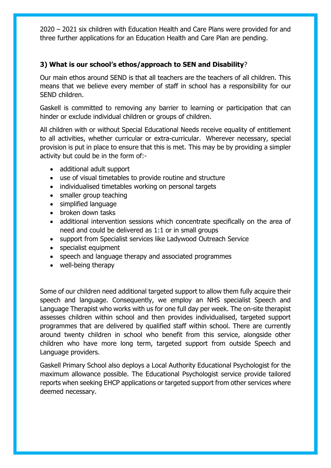2020 – 2021 six children with Education Health and Care Plans were provided for and three further applications for an Education Health and Care Plan are pending.

#### **3) What is our school's ethos/approach to SEN and Disability**?

Our main ethos around SEND is that all teachers are the teachers of all children. This means that we believe every member of staff in school has a responsibility for our SEND children.

Gaskell is committed to removing any barrier to learning or participation that can hinder or exclude individual children or groups of children.

All children with or without Special Educational Needs receive equality of entitlement to all activities, whether curricular or extra-curricular. Wherever necessary, special provision is put in place to ensure that this is met. This may be by providing a simpler activity but could be in the form of:-

- additional adult support
- use of visual timetables to provide routine and structure
- individualised timetables working on personal targets
- smaller group teaching
- simplified language
- broken down tasks
- additional intervention sessions which concentrate specifically on the area of need and could be delivered as 1:1 or in small groups
- support from Specialist services like Ladywood Outreach Service
- specialist equipment
- speech and language therapy and associated programmes
- well-being therapy

Some of our children need additional targeted support to allow them fully acquire their speech and language. Consequently, we employ an NHS specialist Speech and Language Therapist who works with us for one full day per week. The on-site therapist assesses children within school and then provides individualised, targeted support programmes that are delivered by qualified staff within school. There are currently around twenty children in school who benefit from this service, alongside other children who have more long term, targeted support from outside Speech and Language providers.

Gaskell Primary School also deploys a Local Authority Educational Psychologist for the maximum allowance possible. The Educational Psychologist service provide tailored reports when seeking EHCP applications or targeted support from other services where deemed necessary.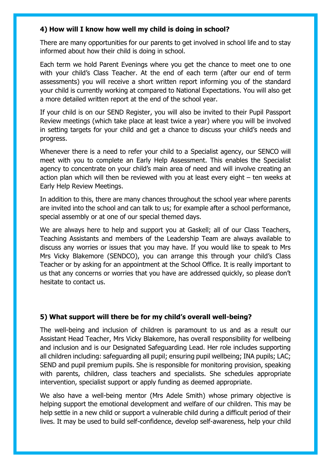#### **4) How will I know how well my child is doing in school?**

There are many opportunities for our parents to get involved in school life and to stay informed about how their child is doing in school.

Each term we hold Parent Evenings where you get the chance to meet one to one with your child's Class Teacher. At the end of each term (after our end of term assessments) you will receive a short written report informing you of the standard your child is currently working at compared to National Expectations. You will also get a more detailed written report at the end of the school year.

If your child is on our SEND Register, you will also be invited to their Pupil Passport Review meetings (which take place at least twice a year) where you will be involved in setting targets for your child and get a chance to discuss your child's needs and progress.

Whenever there is a need to refer your child to a Specialist agency, our SENCO will meet with you to complete an Early Help Assessment. This enables the Specialist agency to concentrate on your child's main area of need and will involve creating an action plan which will then be reviewed with you at least every eight – ten weeks at Early Help Review Meetings.

In addition to this, there are many chances throughout the school year where parents are invited into the school and can talk to us; for example after a school performance, special assembly or at one of our special themed days.

We are always here to help and support you at Gaskell; all of our Class Teachers, Teaching Assistants and members of the Leadership Team are always available to discuss any worries or issues that you may have. If you would like to speak to Mrs Mrs Vicky Blakemore (SENDCO), you can arrange this through your child's Class Teacher or by asking for an appointment at the School Office. It is really important to us that any concerns or worries that you have are addressed quickly, so please don't hesitate to contact us.

## **5) What support will there be for my child's overall well-being?**

The well-being and inclusion of children is paramount to us and as a result our Assistant Head Teacher, Mrs Vicky Blakemore, has overall responsibility for wellbeing and inclusion and is our Designated Safeguarding Lead. Her role includes supporting all children including: safeguarding all pupil; ensuring pupil wellbeing; INA pupils; LAC; SEND and pupil premium pupils. She is responsible for monitoring provision, speaking with parents, children, class teachers and specialists. She schedules appropriate intervention, specialist support or apply funding as deemed appropriate.

We also have a well-being mentor (Mrs Adele Smith) whose primary objective is helping support the emotional development and welfare of our children. This may be help settle in a new child or support a vulnerable child during a difficult period of their lives. It may be used to build self-confidence, develop self-awareness, help your child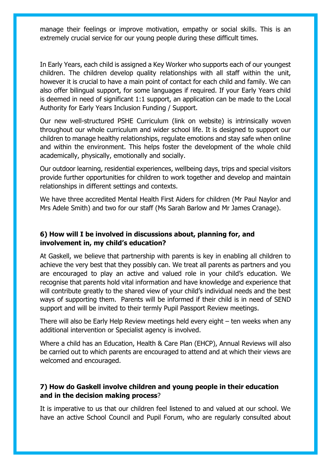manage their feelings or improve motivation, empathy or social skills. This is an extremely crucial service for our young people during these difficult times.

In Early Years, each child is assigned a Key Worker who supports each of our youngest children. The children develop quality relationships with all staff within the unit, however it is crucial to have a main point of contact for each child and family. We can also offer bilingual support, for some languages if required. If your Early Years child is deemed in need of significant 1:1 support, an application can be made to the Local Authority for Early Years Inclusion Funding / Support.

Our new well-structured PSHE Curriculum (link on website) is intrinsically woven throughout our whole curriculum and wider school life. It is designed to support our children to manage healthy relationships, regulate emotions and stay safe when online and within the environment. This helps foster the development of the whole child academically, physically, emotionally and socially.

Our outdoor learning, residential experiences, wellbeing days, trips and special visitors provide further opportunities for children to work together and develop and maintain relationships in different settings and contexts.

We have three accredited Mental Health First Aiders for children (Mr Paul Naylor and Mrs Adele Smith) and two for our staff (Ms Sarah Barlow and Mr James Cranage).

#### **6) How will I be involved in discussions about, planning for, and involvement in, my child's education?**

At Gaskell, we believe that partnership with parents is key in enabling all children to achieve the very best that they possibly can. We treat all parents as partners and you are encouraged to play an active and valued role in your child's education. We recognise that parents hold vital information and have knowledge and experience that will contribute greatly to the shared view of your child's individual needs and the best ways of supporting them. Parents will be informed if their child is in need of SEND support and will be invited to their termly Pupil Passport Review meetings.

There will also be Early Help Review meetings held every eight – ten weeks when any additional intervention or Specialist agency is involved.

Where a child has an Education, Health & Care Plan (EHCP), Annual Reviews will also be carried out to which parents are encouraged to attend and at which their views are welcomed and encouraged.

## **7) How do Gaskell involve children and young people in their education and in the decision making process**?

It is imperative to us that our children feel listened to and valued at our school. We have an active School Council and Pupil Forum, who are regularly consulted about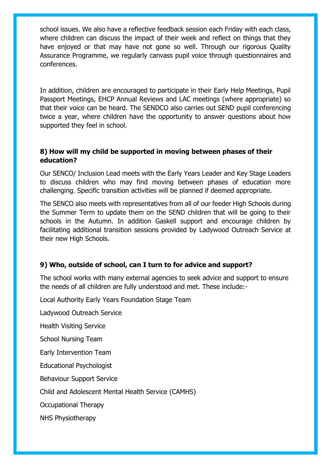school issues. We also have a reflective feedback session each Friday with each class, where children can discuss the impact of their week and reflect on things that they have enjoyed or that may have not gone so well. Through our rigorous Quality Assurance Programme, we regularly canvass pupil voice through questionnaires and conferences.

In addition, children are encouraged to participate in their Early Help Meetings, Pupil Passport Meetings, EHCP Annual Reviews and LAC meetings (where appropriate) so that their voice can be heard. The SENDCO also carries out SEND pupil conferencing twice a year, where children have the opportunity to answer questions about how supported they feel in school.

#### **8) How will my child be supported in moving between phases of their education?**

Our SENCO/ Inclusion Lead meets with the Early Years Leader and Key Stage Leaders to discuss children who may find moving between phases of education more challenging. Specific transition activities will be planned if deemed appropriate.

The SENCO also meets with representatives from all of our feeder High Schools during the Summer Term to update them on the SEND children that will be going to their schools in the Autumn. In addition Gaskell support and encourage children by facilitating additional transition sessions provided by Ladywood Outreach Service at their new High Schools.

## **9) Who, outside of school, can I turn to for advice and support?**

The school works with many external agencies to seek advice and support to ensure the needs of all children are fully understood and met. These include:-

Local Authority Early Years Foundation Stage Team

Ladywood Outreach Service

Health Visiting Service

School Nursing Team

Early Intervention Team

Educational Psychologist

Behaviour Support Service

Child and Adolescent Mental Health Service (CAMHS)

Occupational Therapy

NHS Physiotherapy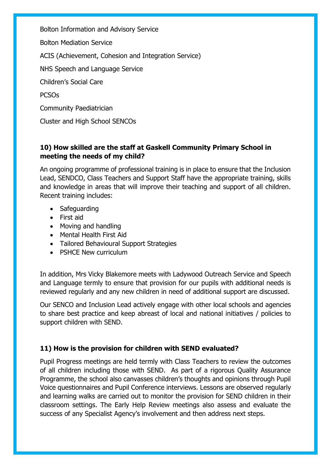Bolton Information and Advisory Service

Bolton Mediation Service

ACIS (Achievement, Cohesion and Integration Service)

NHS Speech and Language Service

Children's Social Care

**PCSOs** 

Community Paediatrician

Cluster and High School SENCOs

## **10) How skilled are the staff at Gaskell Community Primary School in meeting the needs of my child?**

An ongoing programme of professional training is in place to ensure that the Inclusion Lead, SENDCO, Class Teachers and Support Staff have the appropriate training, skills and knowledge in areas that will improve their teaching and support of all children. Recent training includes:

- Safeguarding
- First aid
- Moving and handling
- Mental Health First Aid
- Tailored Behavioural Support Strategies
- PSHCE New curriculum

In addition, Mrs Vicky Blakemore meets with Ladywood Outreach Service and Speech and Language termly to ensure that provision for our pupils with additional needs is reviewed regularly and any new children in need of additional support are discussed.

Our SENCO and Inclusion Lead actively engage with other local schools and agencies to share best practice and keep abreast of local and national initiatives / policies to support children with SEND.

# **11) How is the provision for children with SEND evaluated?**

Pupil Progress meetings are held termly with Class Teachers to review the outcomes of all children including those with SEND. As part of a rigorous Quality Assurance Programme, the school also canvasses children's thoughts and opinions through Pupil Voice questionnaires and Pupil Conference interviews. Lessons are observed regularly and learning walks are carried out to monitor the provision for SEND children in their classroom settings. The Early Help Review meetings also assess and evaluate the success of any Specialist Agency's involvement and then address next steps.